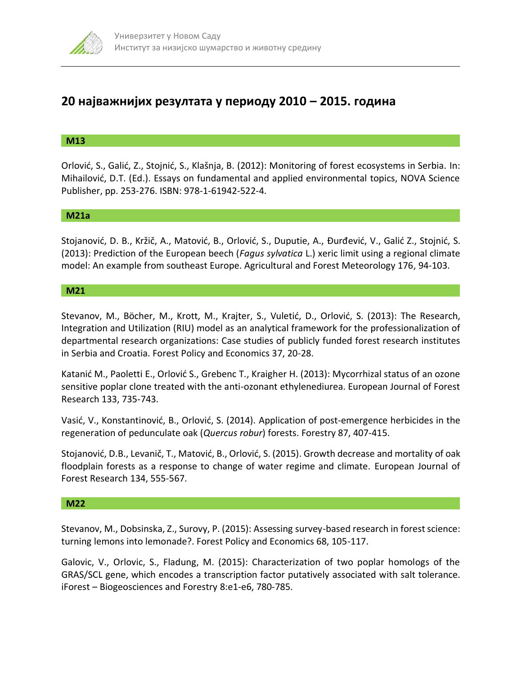

# **20 најважнијих резултата у периоду 2010 – 2015. година**

# **M13**

Orlović, S., Galić, Z., Stojnić, S., Klašnja, B. (2012): Monitoring of forest ecosystems in Serbia. In: Mihailović, D.T. (Ed.). Essays on fundamental and applied environmental topics, NOVA Science Publisher, pp. 253-276. ISBN: 978-1-61942-522-4.

## **M21а**

Stojanović, D. B., Kržič, A., Matović, B., Orlović, S., Duputie, A., Đurđević, V., Galić Z., Stojnić, S. (2013): Prediction of the European beech (*Fagus sylvatica* L.) xeric limit using a regional climate model: An example from southeast Europe. Agricultural and Forest Meteorology 176, 94-103.

## **М21**

Stevanov, M., Böcher, M., Krott, M., Krajter, S., Vuletić, D., Orlović, S. (2013): The Research, Integration and Utilization (RIU) model as an analytical framework for the professionalization of departmental research organizations: Case studies of publicly funded forest research institutes in Serbia and Croatia. Forest Policy and Economics 37, 20-28.

Katanić М., Paoletti Е., Orlović S., Grebenc T., Kraigher H. (2013): Mycorrhizal status of an ozone sensitive poplar clone treated with the anti-ozonant ethylenediurea. European Journal of Forest Research 133, 735-743.

Vasić, V., Konstantinović, B., Orlović, S. (2014). Application of post-emergence herbicides in the regeneration of pedunculate oak (*Quercus robur*) forests. Forestry 87, 407-415.

Stojanović, D.B., Levanič, T., Matović, B., Orlović, S. (2015). Growth decrease and mortality of oak floodplain forests as a response to change of water regime and climate. European Journal of Forest Research 134, 555-567.

#### **M22**

Stevanov, M., Dobsinska, Z., Surovy, P. (2015): Assessing survey-based research in forest science: turning lemons into lemonade?. Forest Policy and Economics 68, 105-117.

Galovic, V., Orlovic, S., Fladung, M. (2015): Characterization of two poplar homologs of the GRAS/SCL gene, which encodes a transcription factor putatively associated with salt tolerance. iForest – Biogeosciences and Forestry 8:e1-e6, 780-785.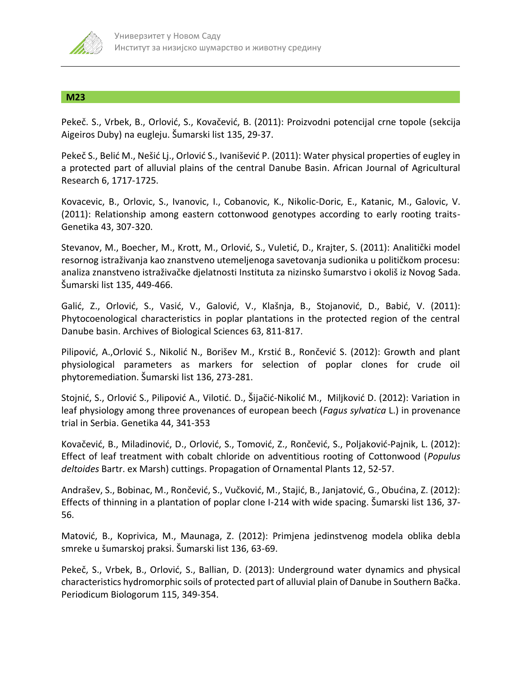

## **M23**

Pekeč. S., Vrbek, B., Orlović, S., Kovačević, B. (2011): Proizvodni potencijal crne topole (sekcija Aigeiros Duby) na eugleju. Šumarski list 135, 29-37.

Pekeč S., Belić M., Nešić Lj., Orlović S., Ivanišević P. (2011): Water physical properties of eugley in a protected part of alluvial plains of the central Danube Basin. African Journal of Agricultural Research 6, 1717-1725.

Kovacevic, B., Orlovic, S., Ivanovic, I., Cobanovic, K., Nikolic-Doric, E., Katanic, M., Galovic, V. (2011): Relationship among eastern cottonwood genotypes according to early rooting traits-Genetika 43, 307-320.

Stevanov, M., Boecher, M., Krott, M., Orlović, S., Vuletić, D., Krajter, S. (2011): Analitički model resornog istraživanja kao znanstveno utemeljenoga savetovanja sudionika u političkom procesu: analiza znanstveno istraživačke djelatnosti Instituta za nizinsko šumarstvo i okoliš iz Novog Sada. Šumarski list 135, 449-466.

Galić, Z., Orlović, S., Vasić, V., Galović, V., Klašnja, B., Stojanović, D., Babić, V. (2011): Phytocoenological characteristics in poplar plantations in the protected region of the central Danube basin. Archives of Biological Sciences 63, 811-817.

Pilipović, A.,Orlović S., Nikolić N., Borišev M., Krstić B., Rončević S. (2012): Growth and plant physiological parameters as markers for selection of poplar clones for crude oil phytoremediation. Šumarski list 136, 273-281.

Stojnić, S., Orlović S., Pilipović A., Vilotić. D., Šijačić-Nikolić M., Miljković D. (2012): Variation in leaf physiology among three provenances of european beech (*Fagus sylvatica* L.) in provenance trial in Serbia. Genetika 44, 341-353

Kovačević, B., Miladinović, D., Orlović, S., Tomović, Z., Rončević, S., Poljaković-Pajnik, L. (2012): Effect of leaf treatment with cobalt chloride on adventitious rooting of Cottonwood (*Populus deltoides* Bartr. ex Marsh) cuttings. Propagation of Ornamental Plants 12, 52-57.

Andrašev, S., Bobinac, M., Rončević, S., Vučković, M., Stajić, B., Janjatović, G., Obućina, Z. (2012): Effects of thinning in a plantation of poplar clone I-214 with wide spacing. Šumarski list 136, 37- 56.

Matović, B., Koprivica, M., Maunaga, Z. (2012): Primjena jedinstvenog modela oblika debla smreke u šumarskoj praksi. Šumarski list 136, 63-69.

Pekeč, S., Vrbek, B., Orlović, S., Ballian, D. (2013): Underground water dynamics and physical characteristics hydromorphic soils of protected part of alluvial plain of Danube in Southern Bačka. Periodicum Biologorum 115, 349-354.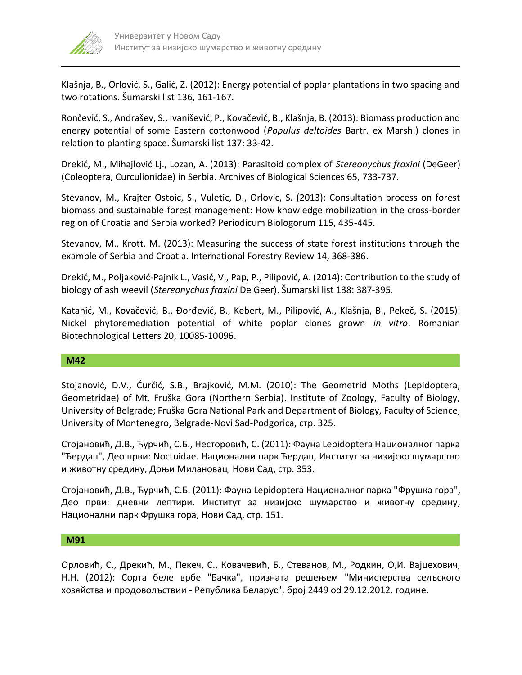

Klašnja, B., Orlović, S., Galić, Z. (2012): Energy potential of poplar plantations in two spacing and two rotations. Šumarski list 136, 161-167.

Rončević, S., Andrašev, S., Ivanišević, P., Kovačević, B., Klašnja, B. (2013): Biomass production and energy potential of some Eastern cottonwood (*Populus deltoides* Bartr. ex Marsh.) clones in relation to planting space. Šumarski list 137: 33-42.

Drekić, M., Mihajlović Lj., Lozan, A. (2013): Parasitoid complex of *Stereonychus fraxini* (DeGeer) (Coleoptera, Curculionidae) in Serbia. Archives of Biological Sciences 65, 733-737.

Stevanov, M., Krajter Ostoic, S., Vuletic, D., Orlovic, S. (2013): Consultation process on forest biomass and sustainable forest management: How knowledge mobilization in the cross-border region of Croatia and Serbia worked? Periodicum Biologorum 115, 435-445.

Stevanov, M., Krott, M. (2013): Measuring the success of state forest institutions through the example of Serbia and Croatia. International Forestry Review 14, 368-386.

Drekić, M., Poljaković-Pajnik L., Vasić, V., Pap, P., Pilipović, A. (2014): Contribution to the study of biology of ash weevil (*Stereonychus fraxini* De Geer). Šumarski list 138: 387-395.

Katanić, M., Kovačević, B., Đorđević, B., Kebert, M., Pilipović, A., Klašnja, B., Pekeč, S. (2015): Nickel phytoremediation potential of white poplar clones grown *in vitro*. Romanian Biotechnological Letters 20, 10085-10096.

## **M42**

Stojanović, D.V., Ćurčić, S.B., Brajković, M.M. (2010): The Geometrid Moths (Lepidoptera, Geometridae) of Mt. Fruška Gora (Northern Serbia). Institute of Zoology, Faculty of Biology, University of Belgrade; Fruška Gora National Park and Department of Biology, Faculty of Science, University of Montenegro, Belgrade-Novi Sad-Podgorica, стр. 325.

Стојановић, Д.В., Ћурчић, С.Б., Несторовић, С. (2011): Фауна Lepidoptera Националног парка "Ђердап", Део први: Noctuidae. Национални парк Ђердап, Институт за низијско шумарство и животну средину, Доњи Милановац, Нови Сад, стр. 353.

Стојановић, Д.В., Ћурчић, С.Б. (2011): Фауна Lepidoptera Националног парка "Фрушка гора", Део први: дневни лептири. Институт за низијско шумарство и животну средину, Национални парк Фрушка гора, Нови Сад, стр. 151.

#### **M91**

Орловић, С., Дрекић, M., Пекеч, С., Ковачевић, Б., Стеванов, М., Родкин, О,И. Вајцехович, Н.Н. (2012): Сорта беле врбе "Бачка", призната решењем "Министерства селъского хозяйства и продоволъствии - Република Беларус", број 2449 od 29.12.2012. године.